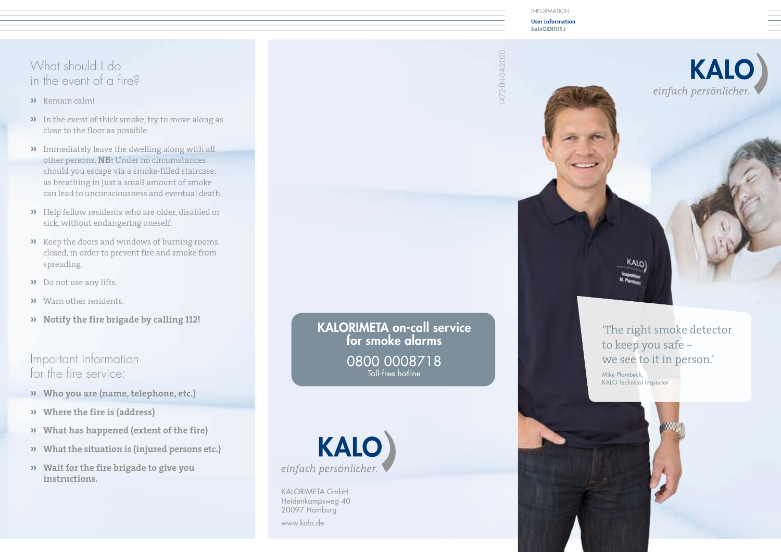#### What should I do in the event of a fire?

- **»** Remain calm!
- **»** In the event of thick smoke, try to move along as close to the floor as possible.
- **»** Immediately leave the dwelling along with all other persons. **NB:** Under no circumstances should you escape via a smoke-filled staircase, as breathing in just a small amount of smoke can lead to unconsciousness and eventual death.
- **»** Help fellow residents who are older, disabled or sick, without endangering oneself.
- **»** Keep the doors and windows of burning rooms closed, in order to prevent fire and smoke from spreading.
- **»** Do not use any lifts.
- **»** Warn other residents.
- **» Notify the fire brigade by calling 112!**

#### Important information for the fire service:

- **» Who you are (name, telephone, etc.)**
- **» Where the fire is (address)**
- **» What has happened (extent of the fire)**
- **» What the situation is (injured persons etc.)**
- **» Wait for the fire brigade to give you instructions.**

KALORIMETA on-call service for smoke alarms 0800 0008718 Toll-free hotline



KALORIMETA GmbH Heidenkampsweg 40 20097 Hamburg www.kalo.de

INFORMATION

**User information kaloGENIUS i**